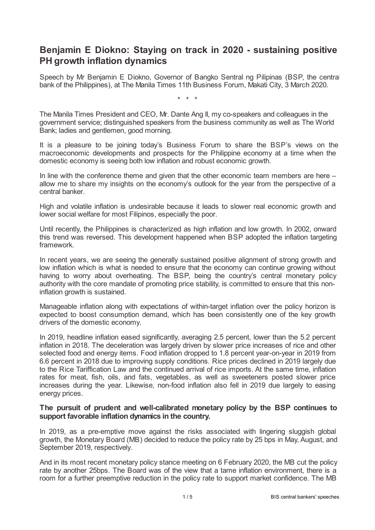# **Benjamin E Diokno: Staying on track in 2020 - sustaining positive PH growth inflation dynamics**

Speech by Mr Benjamin E Diokno, Governor of Bangko Sentral ng Pilipinas (BSP, the central bank of the Philippines), at The Manila Times 11th Business Forum, Makati City, 3 March 2020.

\* \* \*

The Manila Times President and CEO, Mr. Dante Ang II, my co-speakers and colleagues in the government service; distinguished speakers from the business community as well as The World Bank; ladies and gentlemen, good morning.

It is a pleasure to be joining today's Business Forum to share the BSP's views on the macroeconomic developments and prospects for the Philippine economy at a time when the domestic economy is seeing both low inflation and robust economic growth.

In line with the conference theme and given that the other economic team members are here – allow me to share my insights on the economy's outlook for the year from the perspective of a central banker.

High and volatile inflation is undesirable because it leads to slower real economic growth and lower social welfare for most Filipinos, especially the poor.

Until recently, the Philippines is characterized as high inflation and low growth. In 2002, onward this trend was reversed. This development happened when BSP adopted the inflation targeting framework.

In recent years, we are seeing the generally sustained positive alignment of strong growth and low inflation which is what is needed to ensure that the economy can continue growing without having to worry about overheating. The BSP, being the country's central monetary policy authority with the core mandate of promoting price stability, is committed to ensure that this noninflation growth is sustained.

Manageable inflation along with expectations of within-target inflation over the policy horizon is expected to boost consumption demand, which has been consistently one of the key growth drivers of the domestic economy.

In 2019, headline inflation eased significantly, averaging 2.5 percent, lower than the 5.2 percent inflation in 2018. The deceleration was largely driven by slower price increases of rice and other selected food and energy items. Food inflation dropped to 1.8 percent year-on-year in 2019 from 6.6 percent in 2018 due to improving supply conditions. Rice prices declined in 2019 largely due to the Rice Tariffication Law and the continued arrival of rice imports. At the same time, inflation rates for meat, fish, oils, and fats, vegetables, as well as sweeteners posted slower price increases during the year. Likewise, non-food inflation also fell in 2019 due largely to easing energy prices.

#### **The pursuit of prudent and well-calibrated monetary policy by the BSP continues to support favorable inflation dynamics in the country.**

In 2019, as a pre-emptive move against the risks associated with lingering sluggish global growth, the Monetary Board (MB) decided to reduce the policy rate by 25 bps in May, August, and September 2019, respectively.

And in its most recent monetary policy stance meeting on 6 February 2020, the MB cut the policy rate by another 25bps. The Board was of the view that a tame inflation environment, there is a room for a further preemptive reduction in the policy rate to support market confidence. The MB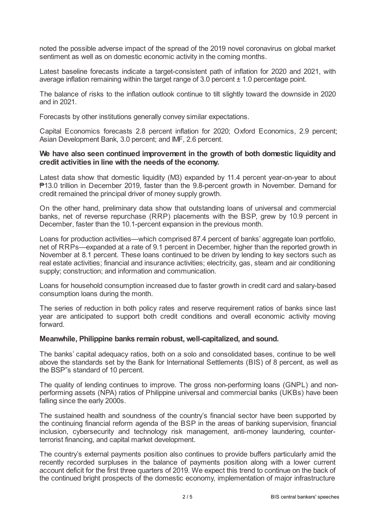noted the possible adverse impact of the spread of the 2019 novel coronavirus on global market sentiment as well as on domestic economic activity in the coming months.

Latest baseline forecasts indicate a target-consistent path of inflation for 2020 and 2021, with average inflation remaining within the target range of 3.0 percent  $\pm$  1.0 percentage point.

The balance of risks to the inflation outlook continue to tilt slightly toward the downside in 2020 and in 2021.

Forecasts by other institutions generally convey similar expectations.

Capital Economics forecasts 2.8 percent inflation for 2020; Oxford Economics, 2.9 percent; Asian Development Bank, 3.0 percent; and IMF, 2.6 percent.

# **We have also seen continued improvement in the growth of both domestic liquidity and credit activities in line with the needs of the economy.**

Latest data show that domestic liquidity (M3) expanded by 11.4 percent year-on-year to about ₱13.0 trillion in December 2019, faster than the 9.8-percent growth in November. Demand for credit remained the principal driver of money supply growth.

On the other hand, preliminary data show that outstanding loans of universal and commercial banks, net of reverse repurchase (RRP) placements with the BSP, grew by 10.9 percent in December, faster than the 10.1-percent expansion in the previous month.

Loans for production activities—which comprised 87.4 percent of banks' aggregate loan portfolio, net of RRPs—expanded at a rate of 9.1 percent in December, higher than the reported growth in November at 8.1 percent. These loans continued to be driven by lending to key sectors such as real estate activities; financial and insurance activities; electricity, gas, steam and air conditioning supply; construction; and information and communication.

Loans for household consumption increased due to faster growth in credit card and salary-based consumption loans during the month.

The series of reduction in both policy rates and reserve requirement ratios of banks since last year are anticipated to support both credit conditions and overall economic activity moving forward.

### **Meanwhile, Philippine banks remain robust, well-capitalized, and sound.**

The banks' capital adequacy ratios, both on a solo and consolidated bases, continue to be well above the standards set by the Bank for International Settlements (BIS) of 8 percent, as well as the BSP"s standard of 10 percent.

The quality of lending continues to improve. The gross non-performing loans (GNPL) and nonperforming assets (NPA) ratios of Philippine universal and commercial banks (UKBs) have been falling since the early 2000s.

The sustained health and soundness of the country's financial sector have been supported by the continuing financial reform agenda of the BSP in the areas of banking supervision, financial inclusion, cybersecurity and technology risk management, anti-money laundering, counterterrorist financing, and capital market development.

The country's external payments position also continues to provide buffers particularly amid the recently recorded surpluses in the balance of payments position along with a lower current account deficit for the first three quarters of 2019. We expect this trend to continue on the back of the continued bright prospects of the domestic economy, implementation of major infrastructure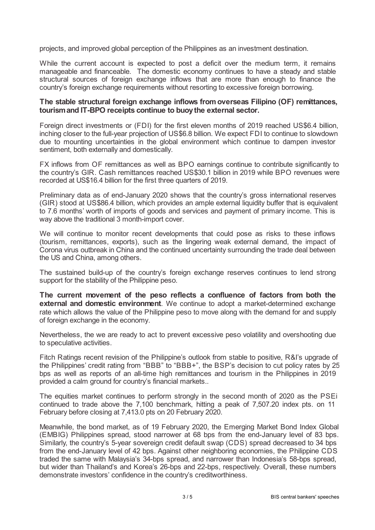projects, and improved global perception of the Philippines as an investment destination.

While the current account is expected to post a deficit over the medium term, it remains manageable and financeable. The domestic economy continues to have a steady and stable structural sources of foreign exchange inflows that are more than enough to finance the country's foreign exchange requirements without resorting to excessive foreign borrowing.

### **The stable structural foreign exchange inflows fromoverseas Filipino (OF) remittances, tourismand IT-BPO receipts continue to buoythe external sector.**

Foreign direct investments or (FDI) for the first eleven months of 2019 reached US\$6.4 billion, inching closer to the full-year projection of US\$6.8 billion. We expect FDI to continue to slowdown due to mounting uncertainties in the global environment which continue to dampen investor sentiment, both externally and domestically.

FX inflows from OF remittances as well as BPO earnings continue to contribute significantly to the country's GIR. Cash remittances reached US\$30.1 billion in 2019 while BPO revenues were recorded at US\$16.4 billion for the first three quarters of 2019.

Preliminary data as of end-January 2020 shows that the country's gross international reserves (GIR) stood at US\$86.4 billion, which provides an ample external liquidity buffer that is equivalent to 7.6 months' worth of imports of goods and services and payment of primary income. This is way above the traditional 3 month-import cover.

We will continue to monitor recent developments that could pose as risks to these inflows (tourism, remittances, exports), such as the lingering weak external demand, the impact of Corona virus outbreak in China and the continued uncertainty surrounding the trade deal between the US and China, among others.

The sustained build-up of the country's foreign exchange reserves continues to lend strong support for the stability of the Philippine peso.

**The current movement of the peso reflects a confluence of factors from both the external and domestic environment**. We continue to adopt a market-determined exchange rate which allows the value of the Philippine peso to move along with the demand for and supply of foreign exchange in the economy.

Nevertheless, the we are ready to act to prevent excessive peso volatility and overshooting due to speculative activities.

Fitch Ratings recent revision of the Philippine's outlook from stable to positive, R&I's upgrade of the Philippines' credit rating from "BBB" to "BBB+", the BSP's decision to cut policy rates by 25 bps as well as reports of an all-time high remittances and tourism in the Philippines in 2019 provided a calm ground for country's financial markets..

The equities market continues to perform strongly in the second month of 2020 as the PSEi continued to trade above the 7,100 benchmark, hitting a peak of 7,507.20 index pts. on 11 February before closing at 7,413.0 pts on 20 February 2020.

Meanwhile, the bond market, as of 19 February 2020, the Emerging Market Bond Index Global (EMBIG) Philippines spread, stood narrower at 68 bps from the end-January level of 83 bps. Similarly, the country's 5-year sovereign credit default swap (CDS) spread decreased to 34 bps from the end-January level of 42 bps. Against other neighboring economies, the Philippine CDS traded the same with Malaysia's 34-bps spread, and narrower than Indonesia's 58-bps spread, but wider than Thailand's and Korea's 26-bps and 22-bps, respectively. Overall, these numbers demonstrate investors' confidence in the country's creditworthiness.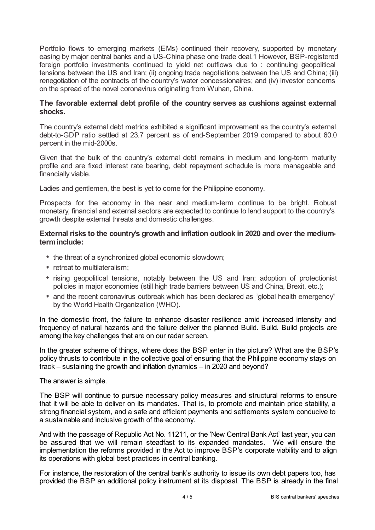Portfolio flows to emerging markets (EMs) continued their recovery, supported by monetary easing by major central banks and a US-China phase one trade deal.1 However, BSP-registered foreign portfolio investments continued to yield net outflows due to : continuing geopolitical tensions between the US and Iran; (ii) ongoing trade negotiations between the US and China; (iii) renegotiation of the contracts of the country's water concessionaires; and (iv) investor concerns on the spread of the novel coronavirus originating from Wuhan, China.

### **The favorable external debt profile of the country serves as cushions against external shocks.**

The country's external debt metrics exhibited a significant improvement as the country's external debt-to-GDP ratio settled at 23.7 percent as of end-September 2019 compared to about 60.0 percent in the mid-2000s.

Given that the bulk of the country's external debt remains in medium and long-term maturity profile and are fixed interest rate bearing, debt repayment schedule is more manageable and financially viable.

Ladies and gentlemen, the best is yet to come for the Philippine economy.

Prospects for the economy in the near and medium-term continue to be bright. Robust monetary, financial and external sectors are expected to continue to lend support to the country's growth despite external threats and domestic challenges.

# **External risks to the country's growth and inflation outlook in 2020 and over the mediumterminclude:**

- the threat of a synchronized global economic slowdown;
- retreat to multilateralism:
- rising geopolitical tensions, notably between the US and Iran; adoption of protectionist policies in major economies (still high trade barriers between US and China, Brexit, etc.);
- \* and the recent coronavirus outbreak which has been declared as "global health emergency" by the World Health Organization (WHO).

In the domestic front, the failure to enhance disaster resilience amid increased intensity and frequency of natural hazards and the failure deliver the planned Build. Build. Build projects are among the key challenges that are on our radar screen.

In the greater scheme of things, where does the BSP enter in the picture? What are the BSP's policy thrusts to contribute in the collective goal of ensuring that the Philippine economy stays on track – sustaining the growth and inflation dynamics – in 2020 and beyond?

The answer is simple.

The BSP will continue to pursue necessary policy measures and structural reforms to ensure that it will be able to deliver on its mandates. That is, to promote and maintain price stability, a strong financial system, and a safe and efficient payments and settlements system conducive to a sustainable and inclusive growth of the economy.

And with the passage of Republic Act No. 11211, or the 'New Central Bank Act' last year, you can be assured that we will remain steadfast to its expanded mandates. We will ensure the implementation the reforms provided in the Act to improve BSP's corporate viability and to align its operations with global best practices in central banking.

For instance, the restoration of the central bank's authority to issue its own debt papers too, has provided the BSP an additional policy instrument at its disposal. The BSP is already in the final